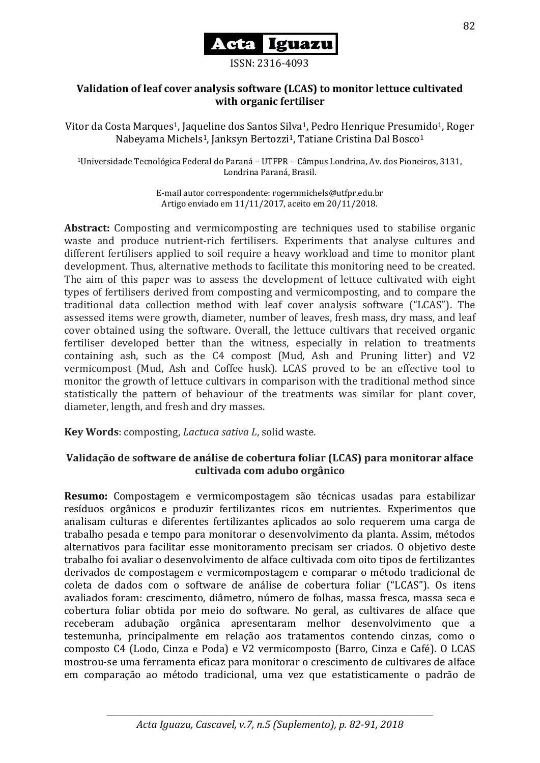

ISSN: 2316-4093

### **Validation of leaf cover analysis software (LCAS) to monitor lettuce cultivated with organic fertiliser**

Vitor da Costa Marques<sup>1</sup>, Jaqueline dos Santos Silva<sup>1</sup>, Pedro Henrique Presumido<sup>1</sup>, Roger Nabeyama Michels<sup>1</sup>, Janksyn Bertozzi<sup>1</sup>, Tatiane Cristina Dal Bosco<sup>1</sup>

<sup>1</sup>Universidade Tecnológica Federal do Paraná – UTFPR – Câmpus Londrina, Av. dos Pioneiros, 3131, Londrina Paraná, Brasil.

> E-mail autor correspondente: rogernmichels@utfpr.edu.br Artigo enviado em 11/11/2017, aceito em 20/11/2018.

**Abstract:** Composting and vermicomposting are techniques used to stabilise organic waste and produce nutrient-rich fertilisers. Experiments that analyse cultures and different fertilisers applied to soil require a heavy workload and time to monitor plant development. Thus, alternative methods to facilitate this monitoring need to be created. The aim of this paper was to assess the development of lettuce cultivated with eight types of fertilisers derived from composting and vermicomposting, and to compare the traditional data collection method with leaf cover analysis software ("LCAS"). The assessed items were growth, diameter, number of leaves, fresh mass, dry mass, and leaf cover obtained using the software. Overall, the lettuce cultivars that received organic fertiliser developed better than the witness, especially in relation to treatments containing ash, such as the C4 compost (Mud, Ash and Pruning litter) and V2 vermicompost (Mud, Ash and Coffee husk). LCAS proved to be an effective tool to monitor the growth of lettuce cultivars in comparison with the traditional method since statistically the pattern of behaviour of the treatments was similar for plant cover, diameter, length, and fresh and dry masses.

**Key Words**: composting, *Lactuca sativa L*, solid waste.

# **Validação de software de análise de cobertura foliar (LCAS) para monitorar alface cultivada com adubo orgânico**

**Resumo:** Compostagem e vermicompostagem são técnicas usadas para estabilizar resíduos orgânicos e produzir fertilizantes ricos em nutrientes. Experimentos que analisam culturas e diferentes fertilizantes aplicados ao solo requerem uma carga de trabalho pesada e tempo para monitorar o desenvolvimento da planta. Assim, métodos alternativos para facilitar esse monitoramento precisam ser criados. O objetivo deste trabalho foi avaliar o desenvolvimento de alface cultivada com oito tipos de fertilizantes derivados de compostagem e vermicompostagem e comparar o método tradicional de coleta de dados com o software de análise de cobertura foliar ("LCAS"). Os itens avaliados foram: crescimento, diâmetro, número de folhas, massa fresca, massa seca e cobertura foliar obtida por meio do software. No geral, as cultivares de alface que receberam adubação orgânica apresentaram melhor desenvolvimento que a testemunha, principalmente em relação aos tratamentos contendo cinzas, como o composto C4 (Lodo, Cinza e Poda) e V2 vermicomposto (Barro, Cinza e Café). O LCAS mostrou-se uma ferramenta eficaz para monitorar o crescimento de cultivares de alface em comparação ao método tradicional, uma vez que estatisticamente o padrão de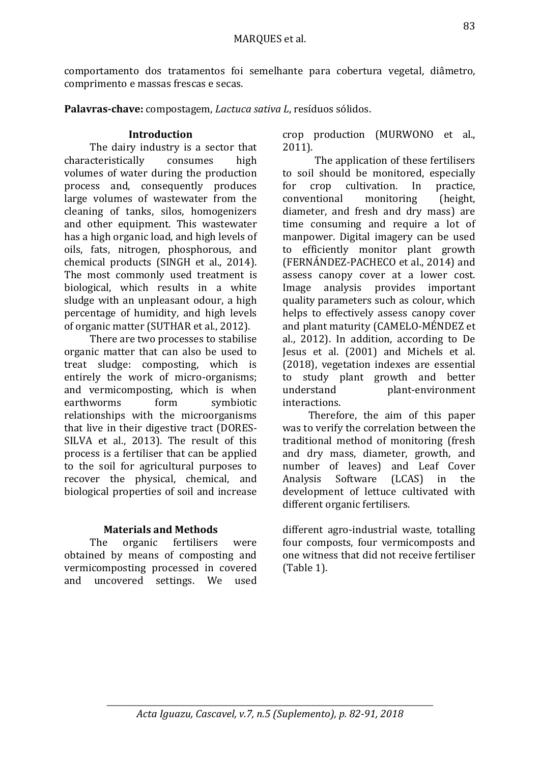comportamento dos tratamentos foi semelhante para cobertura vegetal, diâmetro, comprimento e massas frescas e secas.

**Palavras-chave:** compostagem, *Lactuca sativa L*, resíduos sólidos.

## **Introduction**

The dairy industry is a sector that characteristically consumes high volumes of water during the production process and, consequently produces large volumes of wastewater from the cleaning of tanks, silos, homogenizers and other equipment. This wastewater has a high organic load, and high levels of oils, fats, nitrogen, phosphorous, and chemical products (SINGH et al., 2014). The most commonly used treatment is biological, which results in a white sludge with an unpleasant odour, a high percentage of humidity, and high levels of organic matter (SUTHAR et al., 2012).

There are two processes to stabilise organic matter that can also be used to treat sludge: composting, which is entirely the work of micro-organisms; and vermicomposting, which is when earthworms form symbiotic relationships with the microorganisms that live in their digestive tract (DORES-SILVA et al., 2013). The result of this process is a fertiliser that can be applied to the soil for agricultural purposes to recover the physical, chemical, and biological properties of soil and increase

# **Materials and Methods**

The organic fertilisers were obtained by means of composting and vermicomposting processed in covered and uncovered settings. We used crop production (MURWONO et al., 2011).

The application of these fertilisers to soil should be monitored, especially for crop cultivation. In practice, conventional monitoring (height, diameter, and fresh and dry mass) are time consuming and require a lot of manpower. Digital imagery can be used to efficiently monitor plant growth (FERNÁNDEZ-PACHECO et al., 2014) and assess canopy cover at a lower cost. Image analysis provides important quality parameters such as colour, which helps to effectively assess canopy cover and plant maturity (CAMELO-MÉNDEZ et al., 2012). In addition, according to De Jesus et al. (2001) and Michels et al. (2018), vegetation indexes are essential to study plant growth and better understand plant-environment interactions.

Therefore, the aim of this paper was to verify the correlation between the traditional method of monitoring (fresh and dry mass, diameter, growth, and number of leaves) and Leaf Cover Analysis Software (LCAS) in the development of lettuce cultivated with different organic fertilisers.

different agro-industrial waste, totalling four composts, four vermicomposts and one witness that did not receive fertiliser (Table 1).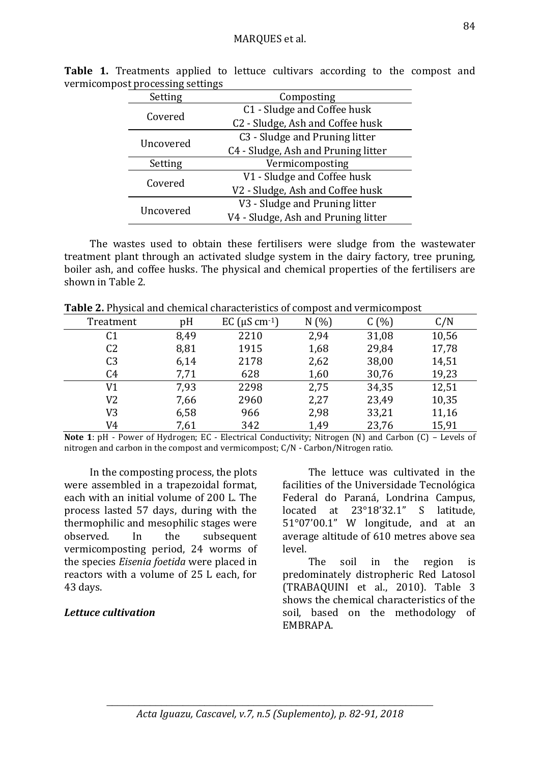| o         | o−                                  |  |  |
|-----------|-------------------------------------|--|--|
| Setting   | Composting                          |  |  |
| Covered   | C1 - Sludge and Coffee husk         |  |  |
|           | C2 - Sludge, Ash and Coffee husk    |  |  |
| Uncovered | C3 - Sludge and Pruning litter      |  |  |
|           | C4 - Sludge, Ash and Pruning litter |  |  |
| Setting   | Vermicomposting                     |  |  |
| Covered   | V1 - Sludge and Coffee husk         |  |  |
|           | V2 - Sludge, Ash and Coffee husk    |  |  |
| Uncovered | V3 - Sludge and Pruning litter      |  |  |
|           | V4 - Sludge, Ash and Pruning litter |  |  |

**Table 1.** Treatments applied to lettuce cultivars according to the compost and vermicompost processing settings

The wastes used to obtain these fertilisers were sludge from the wastewater treatment plant through an activated sludge system in the dairy factory, tree pruning, boiler ash, and coffee husks. The physical and chemical properties of the fertilisers are shown in Table 2.

**Table 2.** Physical and chemical characteristics of compost and vermicompost

| Treatment      | pH   | EC $(\mu S \text{ cm}^{-1})$ | N(%) | C(%)  | C/N   |
|----------------|------|------------------------------|------|-------|-------|
| C <sub>1</sub> | 8,49 | 2210                         | 2,94 | 31,08 | 10,56 |
| C <sub>2</sub> | 8,81 | 1915                         | 1,68 | 29,84 | 17,78 |
| C <sub>3</sub> | 6,14 | 2178                         | 2,62 | 38,00 | 14,51 |
| C <sub>4</sub> | 7,71 | 628                          | 1,60 | 30,76 | 19,23 |
| V1             | 7,93 | 2298                         | 2,75 | 34,35 | 12,51 |
| V2             | 7,66 | 2960                         | 2,27 | 23,49 | 10,35 |
| V3             | 6,58 | 966                          | 2,98 | 33,21 | 11,16 |
| V4             | 7,61 | 342                          | 1,49 | 23,76 | 15,91 |

**Note 1**: pH - Power of Hydrogen; EC - Electrical Conductivity; Nitrogen (N) and Carbon (C) – Levels of nitrogen and carbon in the compost and vermicompost; C/N - Carbon/Nitrogen ratio.

In the composting process, the plots were assembled in a trapezoidal format, each with an initial volume of 200 L. The process lasted 57 days, during with the thermophilic and mesophilic stages were observed. In the subsequent vermicomposting period, 24 worms of the species *Eisenia foetida* were placed in reactors with a volume of 25 L each, for 43 days.

# *Lettuce cultivation*

The lettuce was cultivated in the facilities of the Universidade Tecnológica Federal do Paraná, Londrina Campus, located at 23°18'32.1" S latitude, 51°07'00.1" W longitude, and at an average altitude of 610 metres above sea level.

The soil in the region is predominately distropheric Red Latosol (TRABAQUINI et al., 2010). Table 3 shows the chemical characteristics of the soil, based on the methodology of EMBRAPA.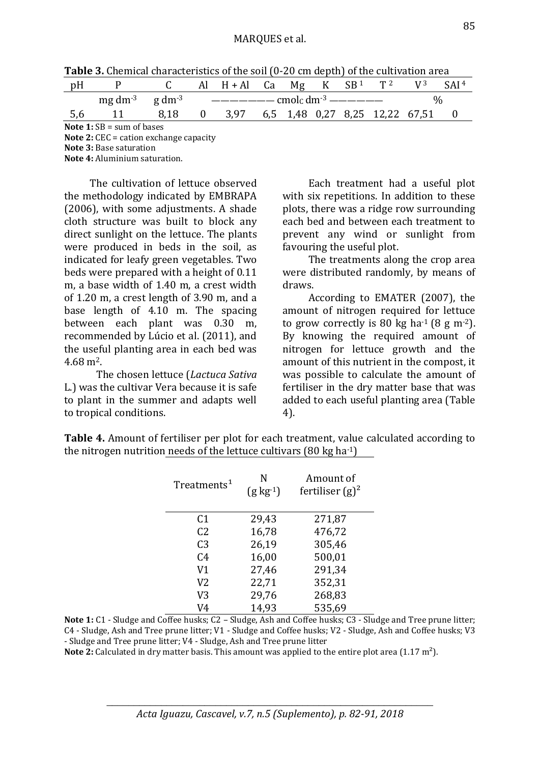| pH                                 |                                    |      |                                             | Al $H + Al$ Ca Mg K $SB^1$ T <sup>2</sup> |  |  |  |  |  |  |
|------------------------------------|------------------------------------|------|---------------------------------------------|-------------------------------------------|--|--|--|--|--|--|
|                                    | $mg \, dm^{-3}$ g dm <sup>-3</sup> |      | $------\text{cmol}_0 \text{dm}^{-3}$ ------ |                                           |  |  |  |  |  |  |
| 5,6                                |                                    | 8.18 |                                             | 0 3,97 6,5 1,48 0,27 8,25 12,22 67,51     |  |  |  |  |  |  |
| <b>Note 1:</b> $SB = sum of bases$ |                                    |      |                                             |                                           |  |  |  |  |  |  |

**Note 2:** CEC = cation exchange capacity

**Note 3:** Base saturation

**Note 4:** Aluminium saturation.

The cultivation of lettuce observed the methodology indicated by EMBRAPA (2006), with some adjustments. A shade cloth structure was built to block any direct sunlight on the lettuce. The plants were produced in beds in the soil, as indicated for leafy green vegetables. Two beds were prepared with a height of 0.11 m, a base width of 1.40 m, a crest width of 1.20 m, a crest length of 3.90 m, and a base length of 4.10 m. The spacing between each plant was 0.30 m, recommended by Lúcio et al. (2011), and the useful planting area in each bed was 4.68 m2.

The chosen lettuce (*Lactuca Sativa* L.) was the cultivar Vera because it is safe to plant in the summer and adapts well to tropical conditions.

Each treatment had a useful plot with six repetitions. In addition to these plots, there was a ridge row surrounding each bed and between each treatment to prevent any wind or sunlight from favouring the useful plot.

The treatments along the crop area were distributed randomly, by means of draws.

According to EMATER (2007), the amount of nitrogen required for lettuce to grow correctly is 80 kg ha<sup>-1</sup> (8 g m<sup>-2</sup>). By knowing the required amount of nitrogen for lettuce growth and the amount of this nutrient in the compost, it was possible to calculate the amount of fertiliser in the dry matter base that was added to each useful planting area (Table 4).

| Treatments <sup>1</sup> | N<br>$(g \text{ kg}^{-1})$ | Amount of<br>fertiliser $(g)^2$ |  |  |  |
|-------------------------|----------------------------|---------------------------------|--|--|--|
| C1                      | 29,43                      | 271,87                          |  |  |  |
| C <sub>2</sub>          | 16,78                      | 476,72                          |  |  |  |
| C <sub>3</sub>          | 26,19                      | 305,46                          |  |  |  |
| C <sub>4</sub>          | 16,00                      | 500,01                          |  |  |  |
| V <sub>1</sub>          | 27,46                      | 291,34                          |  |  |  |
| V2                      | 22,71                      | 352,31                          |  |  |  |
| V3                      | 29,76                      | 268,83                          |  |  |  |
| V4                      | 14,93                      | 535,69                          |  |  |  |

**Table 4.** Amount of fertiliser per plot for each treatment, value calculated according to the nitrogen nutrition needs of the lettuce cultivars  $(80 \text{ kg ha-1})$ 

**Note 1:** C1 - Sludge and Coffee husks; C2 – Sludge, Ash and Coffee husks; C3 - Sludge and Tree prune litter; C4 - Sludge, Ash and Tree prune litter; V1 - Sludge and Coffee husks; V2 - Sludge, Ash and Coffee husks; V3 - Sludge and Tree prune litter; V4 - Sludge, Ash and Tree prune litter

**Note 2:** Calculated in dry matter basis. This amount was applied to the entire plot area (1.17 m<sup>2</sup>).

\_\_\_\_\_\_\_\_\_\_\_\_\_\_\_\_\_\_\_\_\_\_\_\_\_\_\_\_\_\_\_\_\_\_\_\_\_\_\_\_\_\_\_\_\_\_\_\_\_\_\_\_\_\_\_\_\_\_\_\_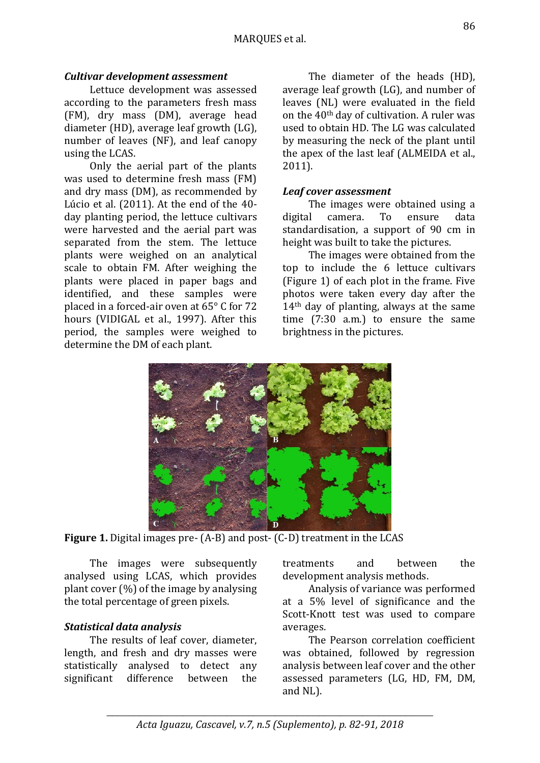# *Cultivar development assessment*

Lettuce development was assessed according to the parameters fresh mass (FM), dry mass (DM), average head diameter (HD), average leaf growth (LG), number of leaves (NF), and leaf canopy using the LCAS.

Only the aerial part of the plants was used to determine fresh mass (FM) and dry mass (DM), as recommended by Lúcio et al. (2011). At the end of the 40 day planting period, the lettuce cultivars were harvested and the aerial part was separated from the stem. The lettuce plants were weighed on an analytical scale to obtain FM. After weighing the plants were placed in paper bags and identified, and these samples were placed in a forced-air oven at 65° C for 72 hours (VIDIGAL et al., 1997). After this period, the samples were weighed to determine the DM of each plant.

The diameter of the heads (HD), average leaf growth (LG), and number of leaves (NL) were evaluated in the field on the 40th day of cultivation. A ruler was used to obtain HD. The LG was calculated by measuring the neck of the plant until the apex of the last leaf (ALMEIDA et al., 2011).

### *Leaf cover assessment*

The images were obtained using a digital camera. To ensure data standardisation, a support of 90 cm in height was built to take the pictures.

The images were obtained from the top to include the 6 lettuce cultivars (Figure 1) of each plot in the frame. Five photos were taken every day after the 14th day of planting, always at the same time (7:30 a.m.) to ensure the same brightness in the pictures.



**Figure 1.** Digital images pre- (A-B) and post- (C-D) treatment in the LCAS

The images were subsequently analysed using LCAS, which provides plant cover (%) of the image by analysing the total percentage of green pixels.

### *Statistical data analysis*

The results of leaf cover, diameter, length, and fresh and dry masses were statistically analysed to detect any significant difference between the

treatments and between the development analysis methods.

Analysis of variance was performed at a 5% level of significance and the Scott-Knott test was used to compare averages.

The Pearson correlation coefficient was obtained, followed by regression analysis between leaf cover and the other assessed parameters (LG, HD, FM, DM, and NL).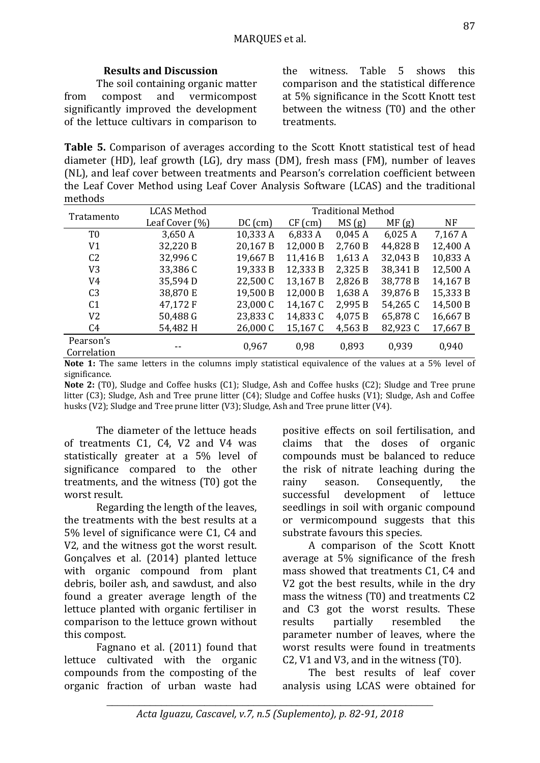# **Results and Discussion**

The soil containing organic matter from compost and vermicompost significantly improved the development of the lettuce cultivars in comparison to

the witness. Table 5 shows this comparison and the statistical difference at 5% significance in the Scott Knott test between the witness (T0) and the other treatments.

**Table 5.** Comparison of averages according to the Scott Knott statistical test of head diameter (HD), leaf growth (LG), dry mass (DM), fresh mass (FM), number of leaves (NL), and leaf cover between treatments and Pearson's correlation coefficient between the Leaf Cover Method using Leaf Cover Analysis Software (LCAS) and the traditional methods

| Tratamento     | <b>LCAS Method</b> | <b>Traditional Method</b> |           |                             |              |                                                                                                                                                                                                                                                                                                                                                                                                                                                             |  |
|----------------|--------------------|---------------------------|-----------|-----------------------------|--------------|-------------------------------------------------------------------------------------------------------------------------------------------------------------------------------------------------------------------------------------------------------------------------------------------------------------------------------------------------------------------------------------------------------------------------------------------------------------|--|
|                | Leaf Cover (%)     | $DC$ (cm)                 | $CF$ (cm) | MS(g)                       | MF(g)        | <b>NF</b>                                                                                                                                                                                                                                                                                                                                                                                                                                                   |  |
| T <sub>0</sub> | 3,650 A            | 10,333 A                  | 6,833 A   | 0,045A                      | 6,025A       | 7,167 A                                                                                                                                                                                                                                                                                                                                                                                                                                                     |  |
| V1             | 32,220 B           | 20,167 B                  | 12,000 B  | 2,760 B                     | 44,828 B     | 12,400 A                                                                                                                                                                                                                                                                                                                                                                                                                                                    |  |
| C <sub>2</sub> | 32,996 C           | 19,667 B                  | 11,416 B  | 1,613A                      | 32,043 B     | 10,833 A                                                                                                                                                                                                                                                                                                                                                                                                                                                    |  |
| V <sub>3</sub> | 33,386 C           | 19,333 B                  | 12,333 B  | 2,325 B                     | 38,341 B     | 12,500 A                                                                                                                                                                                                                                                                                                                                                                                                                                                    |  |
| V4             | 35,594D            | 22,500 C                  | 13,167 B  | 2,826 B                     | 38,778 B     | 14,167 B                                                                                                                                                                                                                                                                                                                                                                                                                                                    |  |
| C <sub>3</sub> | 38,870 E           | 19,500 B                  | 12,000 B  | 1,638 A                     | 39,876 B     | 15,333 B                                                                                                                                                                                                                                                                                                                                                                                                                                                    |  |
| C <sub>1</sub> | 47,172 F           | 23,000 C                  | 14,167 C  | 2,995 B                     | 54,265 C     | 14,500 B                                                                                                                                                                                                                                                                                                                                                                                                                                                    |  |
| V2             | 50,488 G           | 23,833 C                  | 14,833 C  | 4,075 B                     | 65,878 C     | 16,667 B                                                                                                                                                                                                                                                                                                                                                                                                                                                    |  |
| C4             | 54,482 H           | 26,000 C                  | 15,167 C  | 4,563 B                     | 82,923 C     | 17,667 B                                                                                                                                                                                                                                                                                                                                                                                                                                                    |  |
| Pearson's      |                    |                           |           | 0,893                       | 0,939        |                                                                                                                                                                                                                                                                                                                                                                                                                                                             |  |
| Correlation    |                    | 0,967                     | 0,98      |                             |              | 0,940                                                                                                                                                                                                                                                                                                                                                                                                                                                       |  |
|                | $\mathbf{r}$       |                           | .         | $\sim$ $\sim$ $\sim$ $\sim$ | $\mathbf{r}$ | $\blacksquare$ $\lightharpoonup$ $\blacksquare$ $\lightharpoonup$ $\lightharpoonup$ $\lightharpoonup$ $\lightharpoonup$ $\lightharpoonup$ $\lightharpoonup$ $\lightharpoonup$ $\lightharpoonup$ $\lightharpoonup$ $\lightharpoonup$ $\lightharpoonup$ $\lightharpoonup$ $\lightharpoonup$ $\lightharpoonup$ $\lightharpoonup$ $\lightharpoonup$ $\lightharpoonup$ $\lightharpoonup$ $\lightharpoonup$ $\lightharpoonup$ $\lightharpoonup$ $\lightharpoonup$ |  |

**Note 1:** The same letters in the columns imply statistical equivalence of the values at a 5% level of significance.

**Note 2:** (T0), Sludge and Coffee husks (C1); Sludge, Ash and Coffee husks (C2); Sludge and Tree prune litter (C3); Sludge, Ash and Tree prune litter (C4); Sludge and Coffee husks (V1); Sludge, Ash and Coffee husks (V2); Sludge and Tree prune litter (V3); Sludge, Ash and Tree prune litter (V4).

The diameter of the lettuce heads of treatments C1, C4, V2 and V4 was statistically greater at a 5% level of significance compared to the other treatments, and the witness (T0) got the worst result.

Regarding the length of the leaves, the treatments with the best results at a 5% level of significance were C1, C4 and V2, and the witness got the worst result. Gonçalves et al. (2014) planted lettuce with organic compound from plant debris, boiler ash, and sawdust, and also found a greater average length of the lettuce planted with organic fertiliser in comparison to the lettuce grown without this compost.

Fagnano et al. (2011) found that lettuce cultivated with the organic compounds from the composting of the organic fraction of urban waste had

positive effects on soil fertilisation, and claims that the doses of organic compounds must be balanced to reduce the risk of nitrate leaching during the rainy season. Consequently, the successful development of lettuce seedlings in soil with organic compound or vermicompound suggests that this substrate favours this species.

A comparison of the Scott Knott average at 5% significance of the fresh mass showed that treatments C1, C4 and V2 got the best results, while in the dry mass the witness (T0) and treatments C2 and C3 got the worst results. These results partially resembled the parameter number of leaves, where the worst results were found in treatments C2, V1 and V3, and in the witness (T0).

The best results of leaf cover analysis using LCAS were obtained for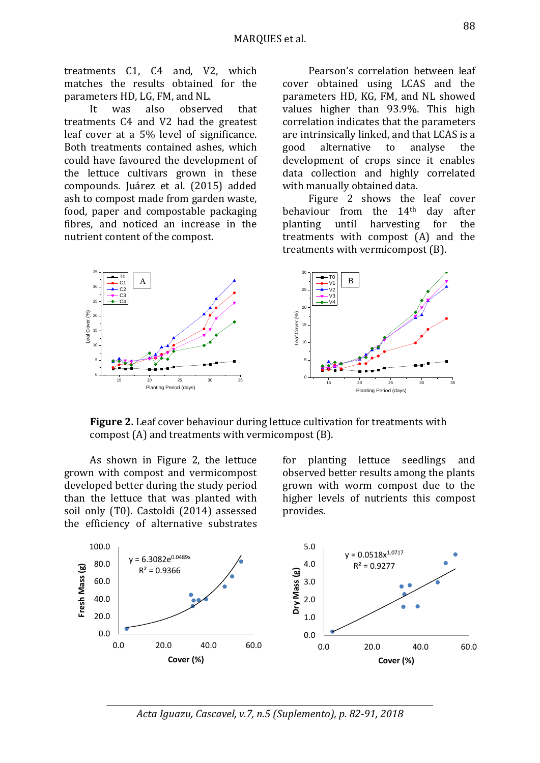treatments C1, C4 and, V2, which matches the results obtained for the parameters HD, LG, FM, and NL.

It was also observed that treatments C4 and V2 had the greatest leaf cover at a 5% level of significance. Both treatments contained ashes, which could have favoured the development of the lettuce cultivars grown in these compounds. Juárez et al. (2015) added ash to compost made from garden waste, food, paper and compostable packaging fibres, and noticed an increase in the nutrient content of the compost.

Pearson's correlation between leaf cover obtained using LCAS and the parameters HD, KG, FM, and NL showed values higher than 93.9%. This high correlation indicates that the parameters are intrinsically linked, and that LCAS is a good alternative to analyse the development of crops since it enables data collection and highly correlated with manually obtained data.

Figure 2 shows the leaf cover behaviour from the 14th day after planting until harvesting for the treatments with compost (A) and the treatments with vermicompost (B).



**Figure 2.** Leaf cover behaviour during lettuce cultivation for treatments with compost (A) and treatments with vermicompost (B).

As shown in Figure 2, the lettuce grown with compost and vermicompost developed better during the study period than the lettuce that was planted with soil only (T0). Castoldi (2014) assessed the efficiency of alternative substrates for planting lettuce seedlings and observed better results among the plants grown with worm compost due to the higher levels of nutrients this compost provides.



\_\_\_\_\_\_\_\_\_\_\_\_\_\_\_\_\_\_\_\_\_\_\_\_\_\_\_\_\_\_\_\_\_\_\_\_\_\_\_\_\_\_\_\_\_\_\_\_\_\_\_\_\_\_\_\_\_\_\_\_ *Acta Iguazu, Cascavel, v.7, n.5 (Suplemento), p. 82-91, 2018*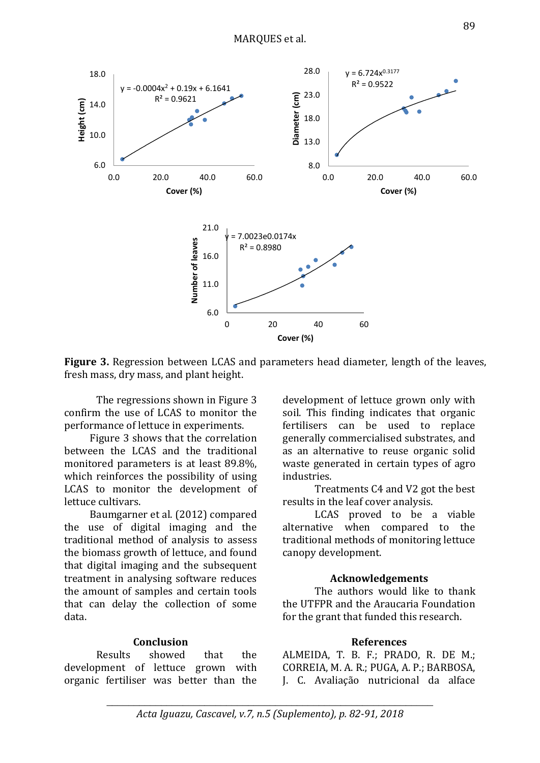

**Figure 3.** Regression between LCAS and parameters head diameter, length of the leaves, fresh mass, dry mass, and plant height.

The regressions shown in Figure 3 confirm the use of LCAS to monitor the performance of lettuce in experiments.

Figure 3 shows that the correlation between the LCAS and the traditional monitored parameters is at least 89.8%, which reinforces the possibility of using LCAS to monitor the development of lettuce cultivars.

Baumgarner et al. (2012) compared the use of digital imaging and the traditional method of analysis to assess the biomass growth of lettuce, and found that digital imaging and the subsequent treatment in analysing software reduces the amount of samples and certain tools that can delay the collection of some data.

### **Conclusion**

Results showed that the development of lettuce grown with organic fertiliser was better than the development of lettuce grown only with soil. This finding indicates that organic fertilisers can be used to replace generally commercialised substrates, and as an alternative to reuse organic solid waste generated in certain types of agro industries.

Treatments C4 and V2 got the best results in the leaf cover analysis.

LCAS proved to be a viable alternative when compared to the traditional methods of monitoring lettuce canopy development.

#### **Acknowledgements**

The authors would like to thank the UTFPR and the Araucaria Foundation for the grant that funded this research.

#### **References**

ALMEIDA, T. B. F.; PRADO, R. DE M.; CORREIA, M. A. R.; PUGA, A. P.; BARBOSA, J. C. Avaliação nutricional da alface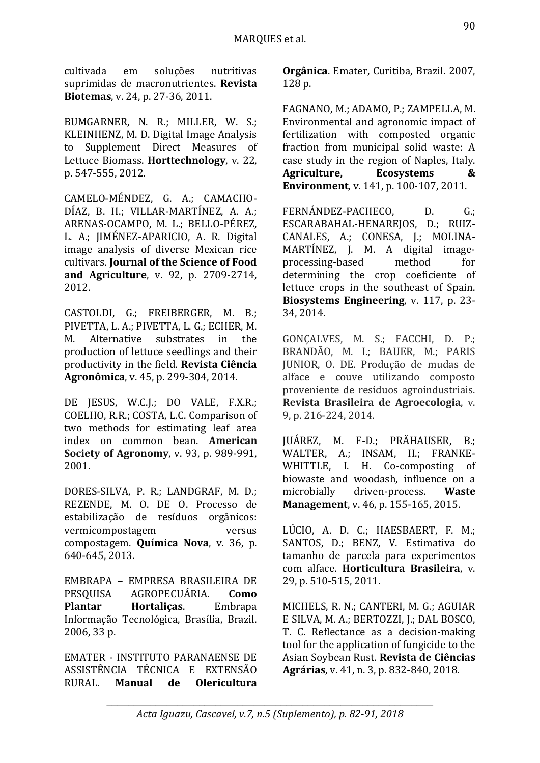cultivada em soluções nutritivas suprimidas de macronutrientes. **Revista Biotemas**, v. 24, p. 27-36, 2011.

[BUMGARNER,](http://capes-mlplus.ez48.periodicos.capes.gov.br/primo_library/libweb/action/search.do?vl(freeText0)=Bumgarner%2c+Nr+&vl(D8109813UI0)=creator&vl(34531112UI3)=articles&vl(1UIStartWith0)=exact&fn=search&tab=default_tab&mode=Advanced&vid=CAPES&scp.scps=primo_central_multiple_fe&ct=lateralLinking) N. R.; [MILLER,](http://capes-mlplus.ez48.periodicos.capes.gov.br/primo_library/libweb/action/search.do?vl(freeText0)=+Miller%2c+Ws+&vl(D8109813UI0)=creator&vl(34531112UI3)=articles&vl(1UIStartWith0)=exact&fn=search&tab=default_tab&mode=Advanced&vid=CAPES&scp.scps=primo_central_multiple_fe&ct=lateralLinking) W. S.; [KLEINHENZ,](http://capes-mlplus.ez48.periodicos.capes.gov.br/primo_library/libweb/action/search.do?vl(freeText0)=+Kleinhenz%2c+MD&vl(D8109813UI0)=creator&vl(34531112UI3)=articles&vl(1UIStartWith0)=exact&fn=search&tab=default_tab&mode=Advanced&vid=CAPES&scp.scps=primo_central_multiple_fe&ct=lateralLinking) M. D. Digital Image Analysis to Supplement Direct Measures of Lettuce Biomass. **Horttechnology**, v. 22, p. 547-555, 2012.

CAMELO-MÉNDEZ, G. A.; CAMACHO-DÍAZ, B. H.; VILLAR-MARTÍNEZ, A. A.; ARENAS-OCAMPO, M. L.; BELLO-PÉREZ, L. A.; JIMÉNEZ-APARICIO, A. R. Digital image analysis of diverse Mexican rice cultivars. **Journal of the Science of Food and Agriculture**, v. 92, p. 2709-2714, 2012.

CASTOLDI, G.; FREIBERGER, M. B.; PIVETTA, L. A.; PIVETTA, L. G.; ECHER, M. M. Alternative substrates in the production of lettuce seedlings and their productivity in the field. **Revista Ciência Agronômica**, v. 45, p. 299-304, 2014.

DE JESUS, W.C.J.; DO VALE, F.X.R.; COELHO, R.R.; COSTA, L.C. Comparison of two methods for estimating leaf area index on common bean. **American Society of Agronomy**, v. 93, p. 989-991, 2001.

DORES-SILVA, P. R.; LANDGRAF, M. D.; REZENDE, M. O. DE O. Processo de estabilização de resíduos orgânicos: vermicompostagem versus compostagem. **Química Nova**, v. 36, p. 640-645, 2013.

EMBRAPA – EMPRESA BRASILEIRA DE PESQUISA AGROPECUÁRIA. **Como Plantar Hortaliças**. Embrapa Informação Tecnológica, Brasília, Brazil. 2006, 33 p.

EMATER - INSTITUTO PARANAENSE DE ASSISTÊNCIA TÉCNICA E EXTENSÃO RURAL. **Manual de Olericultura**  **Orgânica**. Emater, Curitiba, Brazil. 2007, 128 p.

[FAGNANO,](http://capes-mlplus.ez48.periodicos.capes.gov.br/primo_library/libweb/action/search.do?vl(freeText0)=Fagnano%2c+Massimo+&vl(D8109813UI0)=creator&vl(34531112UI3)=articles&vl(1UIStartWith0)=exact&fn=search&tab=default_tab&mode=Advanced&vid=CAPES&scp.scps=primo_central_multiple_fe&ct=lateralLinking) M.; [ADAMO,](http://capes-mlplus.ez48.periodicos.capes.gov.br/primo_library/libweb/action/search.do?vl(freeText0)=+Adamo%2c+P+&vl(D8109813UI0)=creator&vl(34531112UI3)=articles&vl(1UIStartWith0)=exact&fn=search&tab=default_tab&mode=Advanced&vid=CAPES&scp.scps=primo_central_multiple_fe&ct=lateralLinking) P.; [ZAMPELLA,](http://capes-mlplus.ez48.periodicos.capes.gov.br/primo_library/libweb/action/search.do?vl(freeText0)=+Zampella%2c+Mariavittoria+&vl(D8109813UI0)=creator&vl(34531112UI3)=articles&vl(1UIStartWith0)=exact&fn=search&tab=default_tab&mode=Advanced&vid=CAPES&scp.scps=primo_central_multiple_fe&ct=lateralLinking) M. Environmental and agronomic impact of fertilization with composted organic fraction from municipal solid waste: A case study in the region of Naples, Italy. **Agriculture, Ecosystems & Environment**, v. 141, p. 100-107, 2011.

FERNÁNDEZ-PACHECO, D. G.; ESCARABAHAL-HENAREJOS, D.; RUIZ-CANALES, A.; CONESA, J.; MOLINA-MARTÍNEZ, J. M. A digital imageprocessing-based method for determining the crop coeficiente of lettuce crops in the southeast of Spain. **Biosystems Engineering**, v. 117, p. 23- 34, 2014.

GONÇALVES, M. S.; FACCHI, D. P.; BRANDÃO, M. I.; BAUER, M.; PARIS JUNIOR, O. DE. Produção de mudas de alface e couve utilizando composto proveniente de resíduos agroindustriais. **Revista Brasileira de Agroecologia**, v. 9, p. 216-224, 2014.

JUÁREZ, M. F-D.; PRÄHAUSER, B.; WALTER, A.; INSAM, H.; FRANKE-WHITTLE, I. H. Co-composting of biowaste and woodash, influence on a microbially driven-process. **Waste Management**, v. 46, p. 155-165, 2015.

LÚCIO, A. D. C.; HAESBAERT, F. M.; SANTOS, D.; BENZ, V. Estimativa do tamanho de parcela para experimentos com alface. **Horticultura Brasileira**, v. 29, p. 510-515, 2011.

MICHELS, R. N.; CANTERI, M. G.; AGUIAR E SILVA, M. A.; BERTOZZI, J.; DAL BOSCO, T. C. Reflectance as a decision-making tool for the application of fungicide to the Asian Soybean Rust. **Revista de Ciências Agrárias**, v. 41, n. 3, p. 832-840, 2018.